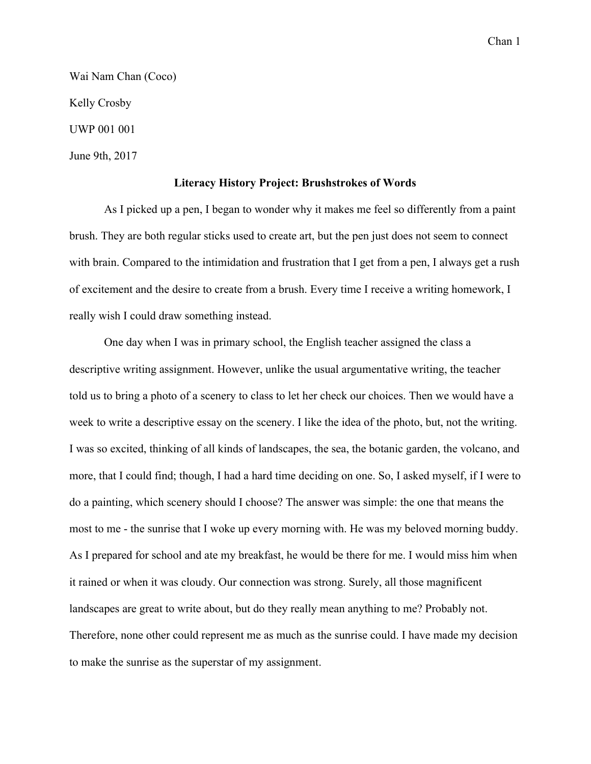Chan 1

Wai Nam Chan (Coco) Kelly Crosby UWP 001 001 June 9th, 2017

## **Literacy History Project: Brushstrokes of Words**

As I picked up a pen, I began to wonder why it makes me feel so differently from a paint brush. They are both regular sticks used to create art, but the pen just does not seem to connect with brain. Compared to the intimidation and frustration that I get from a pen, I always get a rush of excitement and the desire to create from a brush. Every time I receive a writing homework, I really wish I could draw something instead.

One day when I was in primary school, the English teacher assigned the class a descriptive writing assignment. However, unlike the usual argumentative writing, the teacher told us to bring a photo of a scenery to class to let her check our choices. Then we would have a week to write a descriptive essay on the scenery. I like the idea of the photo, but, not the writing. I was so excited, thinking of all kinds of landscapes, the sea, the botanic garden, the volcano, and more, that I could find; though, I had a hard time deciding on one. So, I asked myself, if I were to do a painting, which scenery should I choose? The answer was simple: the one that means the most to me - the sunrise that I woke up every morning with. He was my beloved morning buddy. As I prepared for school and ate my breakfast, he would be there for me. I would miss him when it rained or when it was cloudy. Our connection was strong. Surely, all those magnificent landscapes are great to write about, but do they really mean anything to me? Probably not. Therefore, none other could represent me as much as the sunrise could. I have made my decision to make the sunrise as the superstar of my assignment.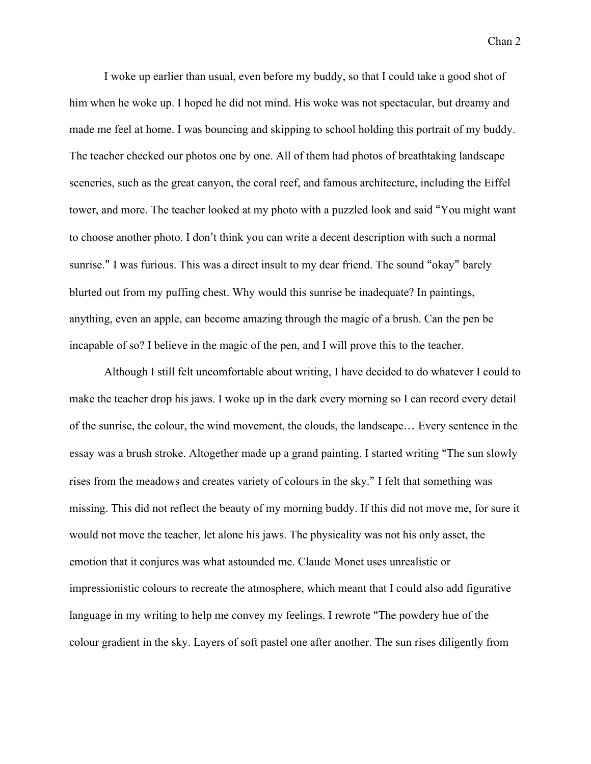Chan 2

I woke up earlier than usual, even before my buddy, so that I could take a good shot of him when he woke up. I hoped he did not mind. His woke was not spectacular, but dreamy and made me feel at home. I was bouncing and skipping to school holding this portrait of my buddy. The teacher checked our photos one by one. All of them had photos of breathtaking landscape sceneries, such as the great canyon, the coral reef, and famous architecture, including the Eiffel tower, and more. The teacher looked at my photo with a puzzled look and said "You might want to choose another photo. I don't think you can write a decent description with such a normal sunrise." I was furious. This was a direct insult to my dear friend. The sound "okay" barely blurted out from my puffing chest. Why would this sunrise be inadequate? In paintings, anything, even an apple, can become amazing through the magic of a brush. Can the pen be incapable of so? I believe in the magic of the pen, and I will prove this to the teacher.

Although I still felt uncomfortable about writing, I have decided to do whatever I could to make the teacher drop his jaws. I woke up in the dark every morning so I can record every detail of the sunrise, the colour, the wind movement, the clouds, the landscape… Every sentence in the essay was a brush stroke. Altogether made up a grand painting. I started writing "The sun slowly rises from the meadows and creates variety of colours in the sky." I felt that something was missing. This did not reflect the beauty of my morning buddy. If this did not move me, for sure it would not move the teacher, let alone his jaws. The physicality was not his only asset, the emotion that it conjures was what astounded me. Claude Monet uses unrealistic or impressionistic colours to recreate the atmosphere, which meant that I could also add figurative language in my writing to help me convey my feelings. I rewrote "The powdery hue of the colour gradient in the sky. Layers of soft pastel one after another. The sun rises diligently from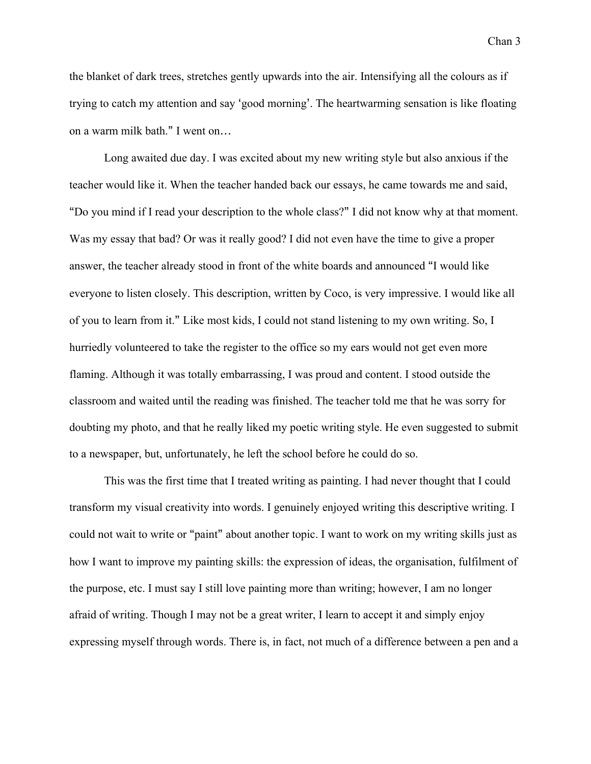Chan 3

the blanket of dark trees, stretches gently upwards into the air. Intensifying all the colours as if trying to catch my attention and say 'good morning'. The heartwarming sensation is like floating on a warm milk bath." I went on…

Long awaited due day. I was excited about my new writing style but also anxious if the teacher would like it. When the teacher handed back our essays, he came towards me and said, "Do you mind if I read your description to the whole class?" I did not know why at that moment. Was my essay that bad? Or was it really good? I did not even have the time to give a proper answer, the teacher already stood in front of the white boards and announced "I would like everyone to listen closely. This description, written by Coco, is very impressive. I would like all of you to learn from it." Like most kids, I could not stand listening to my own writing. So, I hurriedly volunteered to take the register to the office so my ears would not get even more flaming. Although it was totally embarrassing, I was proud and content. I stood outside the classroom and waited until the reading was finished. The teacher told me that he was sorry for doubting my photo, and that he really liked my poetic writing style. He even suggested to submit to a newspaper, but, unfortunately, he left the school before he could do so.

This was the first time that I treated writing as painting. I had never thought that I could transform my visual creativity into words. I genuinely enjoyed writing this descriptive writing. I could not wait to write or "paint" about another topic. I want to work on my writing skills just as how I want to improve my painting skills: the expression of ideas, the organisation, fulfilment of the purpose, etc. I must say I still love painting more than writing; however, I am no longer afraid of writing. Though I may not be a great writer, I learn to accept it and simply enjoy expressing myself through words. There is, in fact, not much of a difference between a pen and a